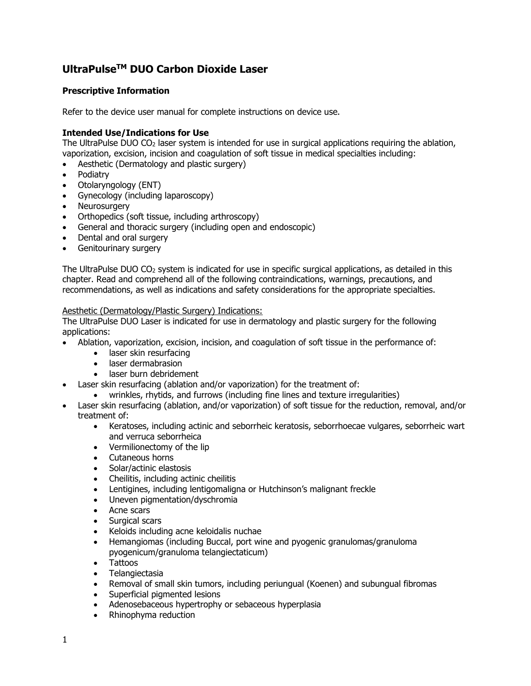# **UltraPulseTM DUO Carbon Dioxide Laser**

## **Prescriptive Information**

Refer to the device user manual for complete instructions on device use.

#### **Intended Use/Indications for Use**

The UltraPulse DUO  $CO<sub>2</sub>$  laser system is intended for use in surgical applications requiring the ablation, vaporization, excision, incision and coagulation of soft tissue in medical specialties including:

- Aesthetic (Dermatology and plastic surgery)
- Podiatry
- Otolaryngology (ENT)
- Gynecology (including laparoscopy)
- Neurosurgery
- Orthopedics (soft tissue, including arthroscopy)
- General and thoracic surgery (including open and endoscopic)
- Dental and oral surgery
- Genitourinary surgery

The UltraPulse DUO CO2 system is indicated for use in specific surgical applications, as detailed in this chapter. Read and comprehend all of the following contraindications, warnings, precautions, and recommendations, as well as indications and safety considerations for the appropriate specialties.

#### Aesthetic (Dermatology/Plastic Surgery) Indications:

The UltraPulse DUO Laser is indicated for use in dermatology and plastic surgery for the following applications:

- Ablation, vaporization, excision, incision, and coagulation of soft tissue in the performance of:
	- laser skin resurfacing
	- laser dermabrasion
	- laser burn debridement
- Laser skin resurfacing (ablation and/or vaporization) for the treatment of:
	- wrinkles, rhytids, and furrows (including fine lines and texture irregularities)
- Laser skin resurfacing (ablation, and/or vaporization) of soft tissue for the reduction, removal, and/or treatment of:
	- Keratoses, including actinic and seborrheic keratosis, seborrhoecae vulgares, seborrheic wart and verruca seborrheica
	- Vermilionectomy of the lip
	- Cutaneous horns
	- Solar/actinic elastosis
	- Cheilitis, including actinic cheilitis
	- Lentigines, including lentigomaligna or Hutchinson's malignant freckle
	- Uneven pigmentation/dyschromia
	- Acne scars
	- Surgical scars
	- Keloids including acne keloidalis nuchae
	- Hemangiomas (including Buccal, port wine and pyogenic granulomas/granuloma pyogenicum/granuloma telangiectaticum)
	- Tattoos
	- Telangiectasia
	- Removal of small skin tumors, including periungual (Koenen) and subungual fibromas
	- Superficial pigmented lesions
	- Adenosebaceous hypertrophy or sebaceous hyperplasia
	- Rhinophyma reduction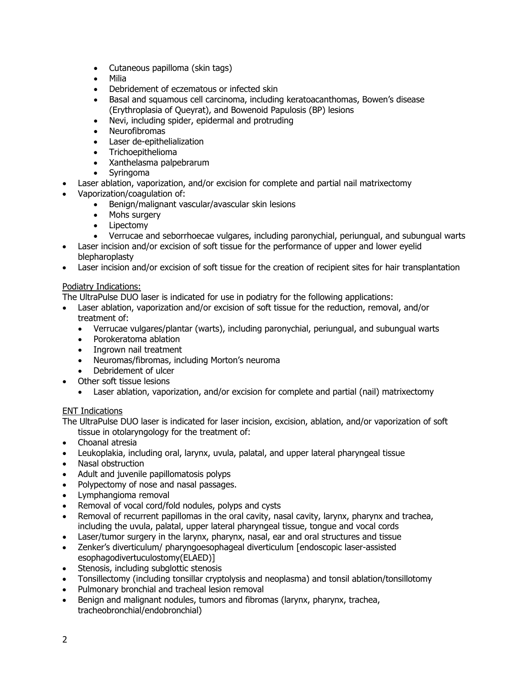- Cutaneous papilloma (skin tags)
- Milia
- Debridement of eczematous or infected skin
- Basal and squamous cell carcinoma, including keratoacanthomas, Bowen's disease (Erythroplasia of Queyrat), and Bowenoid Papulosis (BP) lesions
- Nevi, including spider, epidermal and protruding
- Neurofibromas
- Laser de-epithelialization
- Trichoepithelioma
- Xanthelasma palpebrarum
- Syringoma
- Laser ablation, vaporization, and/or excision for complete and partial nail matrixectomy
- Vaporization/coagulation of:
	- Benign/malignant vascular/avascular skin lesions
	- Mohs surgery
	- Lipectomy
	- Verrucae and seborrhoecae vulgares, including paronychial, periungual, and subungual warts
- Laser incision and/or excision of soft tissue for the performance of upper and lower eyelid blepharoplasty
- Laser incision and/or excision of soft tissue for the creation of recipient sites for hair transplantation

## Podiatry Indications:

The UltraPulse DUO laser is indicated for use in podiatry for the following applications:

- Laser ablation, vaporization and/or excision of soft tissue for the reduction, removal, and/or treatment of:
	- Verrucae vulgares/plantar (warts), including paronychial, periungual, and subungual warts
	- Porokeratoma ablation
	- Ingrown nail treatment
	- Neuromas/fibromas, including Morton's neuroma
	- Debridement of ulcer
- Other soft tissue lesions
	- Laser ablation, vaporization, and/or excision for complete and partial (nail) matrixectomy

# ENT Indications

The UltraPulse DUO laser is indicated for laser incision, excision, ablation, and/or vaporization of soft tissue in otolaryngology for the treatment of:

- Choanal atresia
- Leukoplakia, including oral, larynx, uvula, palatal, and upper lateral pharyngeal tissue
- Nasal obstruction
- Adult and juvenile papillomatosis polyps
- Polypectomy of nose and nasal passages.
- Lymphangioma removal
- Removal of vocal cord/fold nodules, polyps and cysts
- Removal of recurrent papillomas in the oral cavity, nasal cavity, larynx, pharynx and trachea, including the uvula, palatal, upper lateral pharyngeal tissue, tongue and vocal cords
- Laser/tumor surgery in the larynx, pharynx, nasal, ear and oral structures and tissue
- Zenker's diverticulum/ pharyngoesophageal diverticulum [endoscopic laser-assisted esophagodivertuculostomy(ELAED)]
- Stenosis, including subglottic stenosis
- Tonsillectomy (including tonsillar cryptolysis and neoplasma) and tonsil ablation/tonsillotomy
- Pulmonary bronchial and tracheal lesion removal
- Benign and malignant nodules, tumors and fibromas (larynx, pharynx, trachea, tracheobronchial/endobronchial)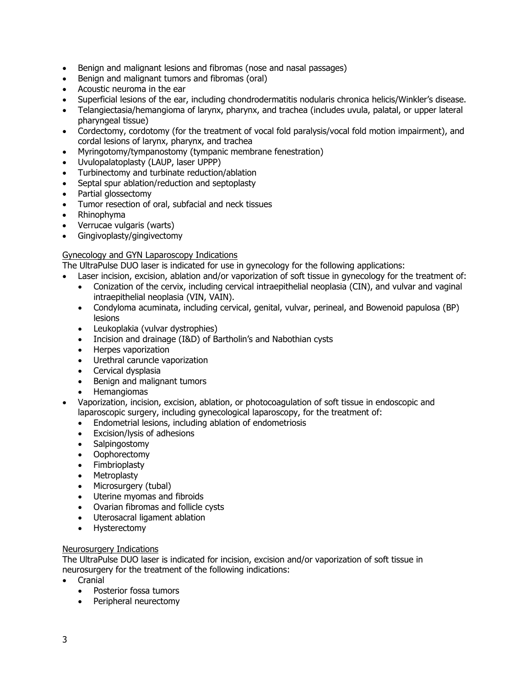- Benign and malignant lesions and fibromas (nose and nasal passages)
- Benign and malignant tumors and fibromas (oral)
- Acoustic neuroma in the ear
- Superficial lesions of the ear, including chondrodermatitis nodularis chronica helicis/Winkler's disease.
- Telangiectasia/hemangioma of larynx, pharynx, and trachea (includes uvula, palatal, or upper lateral pharyngeal tissue)
- Cordectomy, cordotomy (for the treatment of vocal fold paralysis/vocal fold motion impairment), and cordal lesions of larynx, pharynx, and trachea
- Myringotomy/tympanostomy (tympanic membrane fenestration)
- Uvulopalatoplasty (LAUP, laser UPPP)
- Turbinectomy and turbinate reduction/ablation
- Septal spur ablation/reduction and septoplasty
- Partial glossectomy
- Tumor resection of oral, subfacial and neck tissues
- Rhinophyma
- Verrucae vulgaris (warts)
- Gingivoplasty/gingivectomy

#### Gynecology and GYN Laparoscopy Indications

The UltraPulse DUO laser is indicated for use in gynecology for the following applications:

- Laser incision, excision, ablation and/or vaporization of soft tissue in gynecology for the treatment of:
	- Conization of the cervix, including cervical intraepithelial neoplasia (CIN), and vulvar and vaginal intraepithelial neoplasia (VIN, VAIN).
	- Condyloma acuminata, including cervical, genital, vulvar, perineal, and Bowenoid papulosa (BP) lesions
	- Leukoplakia (vulvar dystrophies)
	- Incision and drainage (I&D) of Bartholin's and Nabothian cysts
	- Herpes vaporization
	- Urethral caruncle vaporization
	- Cervical dysplasia
	- Benign and malignant tumors
	- Hemangiomas
- Vaporization, incision, excision, ablation, or photocoagulation of soft tissue in endoscopic and laparoscopic surgery, including gynecological laparoscopy, for the treatment of:
	- Endometrial lesions, including ablation of endometriosis
	- Excision/lysis of adhesions
	- Salpingostomy
	- Oophorectomy
	- Fimbrioplasty
	- Metroplasty
	- Microsurgery (tubal)
	- Uterine myomas and fibroids
	- Ovarian fibromas and follicle cysts
	- Uterosacral ligament ablation
	- Hysterectomy

#### Neurosurgery Indications

The UltraPulse DUO laser is indicated for incision, excision and/or vaporization of soft tissue in neurosurgery for the treatment of the following indications:

- Cranial
	- Posterior fossa tumors
	- Peripheral neurectomy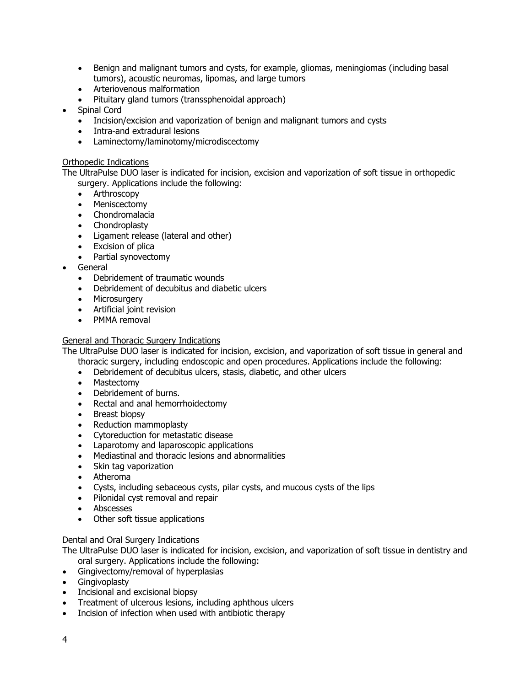- Benign and malignant tumors and cysts, for example, gliomas, meningiomas (including basal tumors), acoustic neuromas, lipomas, and large tumors
- Arteriovenous malformation
- Pituitary gland tumors (transsphenoidal approach)
- Spinal Cord
	- Incision/excision and vaporization of benign and malignant tumors and cysts
	- Intra-and extradural lesions
	- Laminectomy/laminotomy/microdiscectomy

#### Orthopedic Indications

The UltraPulse DUO laser is indicated for incision, excision and vaporization of soft tissue in orthopedic surgery. Applications include the following:

- Arthroscopy
- Meniscectomy
- Chondromalacia
- Chondroplasty
- Ligament release (lateral and other)
- Excision of plica
- Partial synovectomy
- General
	- Debridement of traumatic wounds
	- Debridement of decubitus and diabetic ulcers
	- Microsurgery
	- Artificial joint revision
	- PMMA removal

#### General and Thoracic Surgery Indications

The UltraPulse DUO laser is indicated for incision, excision, and vaporization of soft tissue in general and thoracic surgery, including endoscopic and open procedures. Applications include the following:

- Debridement of decubitus ulcers, stasis, diabetic, and other ulcers
- Mastectomy
- Debridement of burns.
- Rectal and anal hemorrhoidectomy
- Breast biopsy
- Reduction mammoplasty
- Cytoreduction for metastatic disease
- Laparotomy and laparoscopic applications
- Mediastinal and thoracic lesions and abnormalities
- Skin tag vaporization
- Atheroma
- Cysts, including sebaceous cysts, pilar cysts, and mucous cysts of the lips
- Pilonidal cyst removal and repair
- Abscesses
- Other soft tissue applications

#### Dental and Oral Surgery Indications

The UltraPulse DUO laser is indicated for incision, excision, and vaporization of soft tissue in dentistry and oral surgery. Applications include the following:

- Gingivectomy/removal of hyperplasias
- Gingivoplasty
- Incisional and excisional biopsy
- Treatment of ulcerous lesions, including aphthous ulcers
- Incision of infection when used with antibiotic therapy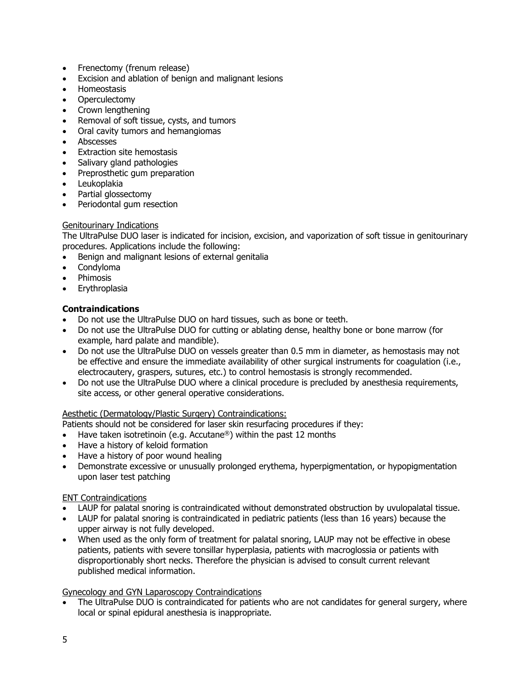- Frenectomy (frenum release)
- Excision and ablation of benign and malignant lesions
- Homeostasis
- Operculectomy
- Crown lengthening
- Removal of soft tissue, cysts, and tumors
- Oral cavity tumors and hemangiomas
- Abscesses
- Extraction site hemostasis
- Salivary gland pathologies
- Preprosthetic gum preparation
- Leukoplakia
- Partial glossectomy
- Periodontal gum resection

#### Genitourinary Indications

The UltraPulse DUO laser is indicated for incision, excision, and vaporization of soft tissue in genitourinary procedures. Applications include the following:

- Benign and malignant lesions of external genitalia
- Condyloma
- Phimosis
- Erythroplasia

## **Contraindications**

- Do not use the UltraPulse DUO on hard tissues, such as bone or teeth.
- Do not use the UltraPulse DUO for cutting or ablating dense, healthy bone or bone marrow (for example, hard palate and mandible).
- Do not use the UltraPulse DUO on vessels greater than 0.5 mm in diameter, as hemostasis may not be effective and ensure the immediate availability of other surgical instruments for coagulation (i.e., electrocautery, graspers, sutures, etc.) to control hemostasis is strongly recommended.
- Do not use the UltraPulse DUO where a clinical procedure is precluded by anesthesia requirements, site access, or other general operative considerations.

#### Aesthetic (Dermatology/Plastic Surgery) Contraindications:

Patients should not be considered for laser skin resurfacing procedures if they:

- Have taken isotretinoin (e.g. Accutane®) within the past 12 months
- Have a history of keloid formation
- Have a history of poor wound healing
- Demonstrate excessive or unusually prolonged erythema, hyperpigmentation, or hypopigmentation upon laser test patching

#### ENT Contraindications

- LAUP for palatal snoring is contraindicated without demonstrated obstruction by uvulopalatal tissue.
- LAUP for palatal snoring is contraindicated in pediatric patients (less than 16 years) because the upper airway is not fully developed.
- When used as the only form of treatment for palatal snoring, LAUP may not be effective in obese patients, patients with severe tonsillar hyperplasia, patients with macroglossia or patients with disproportionably short necks. Therefore the physician is advised to consult current relevant published medical information.

#### Gynecology and GYN Laparoscopy Contraindications

The UltraPulse DUO is contraindicated for patients who are not candidates for general surgery, where local or spinal epidural anesthesia is inappropriate.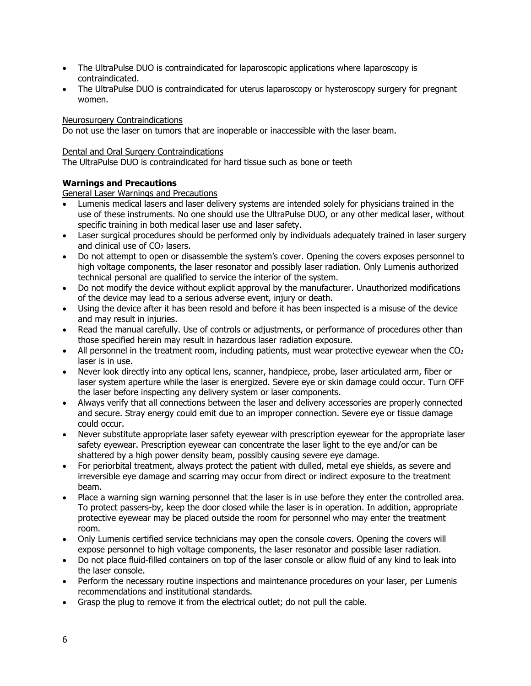- The UltraPulse DUO is contraindicated for laparoscopic applications where laparoscopy is contraindicated.
- The UltraPulse DUO is contraindicated for uterus laparoscopy or hysteroscopy surgery for pregnant women.

#### Neurosurgery Contraindications

Do not use the laser on tumors that are inoperable or inaccessible with the laser beam.

#### Dental and Oral Surgery Contraindications

The UltraPulse DUO is contraindicated for hard tissue such as bone or teeth

# **Warnings and Precautions**

General Laser Warnings and Precautions

- Lumenis medical lasers and laser delivery systems are intended solely for physicians trained in the use of these instruments. No one should use the UltraPulse DUO, or any other medical laser, without specific training in both medical laser use and laser safety.
- Laser surgical procedures should be performed only by individuals adequately trained in laser surgery and clinical use of  $CO<sub>2</sub>$  lasers.
- Do not attempt to open or disassemble the system's cover. Opening the covers exposes personnel to high voltage components, the laser resonator and possibly laser radiation. Only Lumenis authorized technical personal are qualified to service the interior of the system.
- Do not modify the device without explicit approval by the manufacturer. Unauthorized modifications of the device may lead to a serious adverse event, injury or death.
- Using the device after it has been resold and before it has been inspected is a misuse of the device and may result in injuries.
- Read the manual carefully. Use of controls or adjustments, or performance of procedures other than those specified herein may result in hazardous laser radiation exposure.
- All personnel in the treatment room, including patients, must wear protective eyewear when the  $CO<sub>2</sub>$ laser is in use.
- Never look directly into any optical lens, scanner, handpiece, probe, laser articulated arm, fiber or laser system aperture while the laser is energized. Severe eye or skin damage could occur. Turn OFF the laser before inspecting any delivery system or laser components.
- Always verify that all connections between the laser and delivery accessories are properly connected and secure. Stray energy could emit due to an improper connection. Severe eye or tissue damage could occur.
- Never substitute appropriate laser safety eyewear with prescription eyewear for the appropriate laser safety eyewear. Prescription eyewear can concentrate the laser light to the eye and/or can be shattered by a high power density beam, possibly causing severe eye damage.
- For periorbital treatment, always protect the patient with dulled, metal eye shields, as severe and irreversible eye damage and scarring may occur from direct or indirect exposure to the treatment beam.
- Place a warning sign warning personnel that the laser is in use before they enter the controlled area. To protect passers-by, keep the door closed while the laser is in operation. In addition, appropriate protective eyewear may be placed outside the room for personnel who may enter the treatment room.
- Only Lumenis certified service technicians may open the console covers. Opening the covers will expose personnel to high voltage components, the laser resonator and possible laser radiation.
- Do not place fluid-filled containers on top of the laser console or allow fluid of any kind to leak into the laser console.
- Perform the necessary routine inspections and maintenance procedures on your laser, per Lumenis recommendations and institutional standards.
- Grasp the plug to remove it from the electrical outlet; do not pull the cable.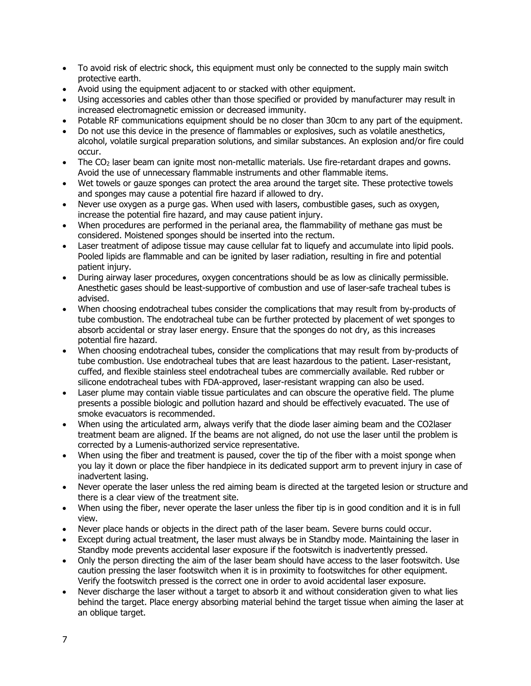- To avoid risk of electric shock, this equipment must only be connected to the supply main switch protective earth.
- Avoid using the equipment adjacent to or stacked with other equipment.
- Using accessories and cables other than those specified or provided by manufacturer may result in increased electromagnetic emission or decreased immunity.
- Potable RF communications equipment should be no closer than 30cm to any part of the equipment.
- Do not use this device in the presence of flammables or explosives, such as volatile anesthetics, alcohol, volatile surgical preparation solutions, and similar substances. An explosion and/or fire could occur.
- The CO<sub>2</sub> laser beam can ignite most non-metallic materials. Use fire-retardant drapes and gowns. Avoid the use of unnecessary flammable instruments and other flammable items.
- Wet towels or gauze sponges can protect the area around the target site. These protective towels and sponges may cause a potential fire hazard if allowed to dry.
- Never use oxygen as a purge gas. When used with lasers, combustible gases, such as oxygen, increase the potential fire hazard, and may cause patient injury.
- When procedures are performed in the perianal area, the flammability of methane gas must be considered. Moistened sponges should be inserted into the rectum.
- Laser treatment of adipose tissue may cause cellular fat to liquefy and accumulate into lipid pools. Pooled lipids are flammable and can be ignited by laser radiation, resulting in fire and potential patient injury.
- During airway laser procedures, oxygen concentrations should be as low as clinically permissible. Anesthetic gases should be least-supportive of combustion and use of laser-safe tracheal tubes is advised.
- When choosing endotracheal tubes consider the complications that may result from by-products of tube combustion. The endotracheal tube can be further protected by placement of wet sponges to absorb accidental or stray laser energy. Ensure that the sponges do not dry, as this increases potential fire hazard.
- When choosing endotracheal tubes, consider the complications that may result from by-products of tube combustion. Use endotracheal tubes that are least hazardous to the patient. Laser-resistant, cuffed, and flexible stainless steel endotracheal tubes are commercially available. Red rubber or silicone endotracheal tubes with FDA-approved, laser-resistant wrapping can also be used.
- Laser plume may contain viable tissue particulates and can obscure the operative field. The plume presents a possible biologic and pollution hazard and should be effectively evacuated. The use of smoke evacuators is recommended.
- When using the articulated arm, always verify that the diode laser aiming beam and the CO2laser treatment beam are aligned. If the beams are not aligned, do not use the laser until the problem is corrected by a Lumenis-authorized service representative.
- When using the fiber and treatment is paused, cover the tip of the fiber with a moist sponge when you lay it down or place the fiber handpiece in its dedicated support arm to prevent injury in case of inadvertent lasing.
- Never operate the laser unless the red aiming beam is directed at the targeted lesion or structure and there is a clear view of the treatment site.
- When using the fiber, never operate the laser unless the fiber tip is in good condition and it is in full view.
- Never place hands or objects in the direct path of the laser beam. Severe burns could occur.
- Except during actual treatment, the laser must always be in Standby mode. Maintaining the laser in Standby mode prevents accidental laser exposure if the footswitch is inadvertently pressed.
- Only the person directing the aim of the laser beam should have access to the laser footswitch. Use caution pressing the laser footswitch when it is in proximity to footswitches for other equipment. Verify the footswitch pressed is the correct one in order to avoid accidental laser exposure.
- Never discharge the laser without a target to absorb it and without consideration given to what lies behind the target. Place energy absorbing material behind the target tissue when aiming the laser at an oblique target.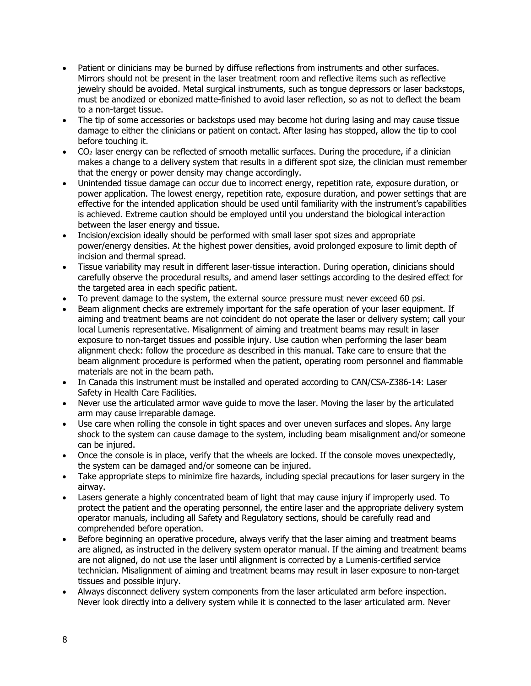- Patient or clinicians may be burned by diffuse reflections from instruments and other surfaces. Mirrors should not be present in the laser treatment room and reflective items such as reflective jewelry should be avoided. Metal surgical instruments, such as tongue depressors or laser backstops, must be anodized or ebonized matte-finished to avoid laser reflection, so as not to deflect the beam to a non-target tissue.
- The tip of some accessories or backstops used may become hot during lasing and may cause tissue damage to either the clinicians or patient on contact. After lasing has stopped, allow the tip to cool before touching it.
- CO2 laser energy can be reflected of smooth metallic surfaces. During the procedure, if a clinician makes a change to a delivery system that results in a different spot size, the clinician must remember that the energy or power density may change accordingly.
- Unintended tissue damage can occur due to incorrect energy, repetition rate, exposure duration, or power application. The lowest energy, repetition rate, exposure duration, and power settings that are effective for the intended application should be used until familiarity with the instrument's capabilities is achieved. Extreme caution should be employed until you understand the biological interaction between the laser energy and tissue.
- Incision/excision ideally should be performed with small laser spot sizes and appropriate power/energy densities. At the highest power densities, avoid prolonged exposure to limit depth of incision and thermal spread.
- Tissue variability may result in different laser-tissue interaction. During operation, clinicians should carefully observe the procedural results, and amend laser settings according to the desired effect for the targeted area in each specific patient.
- To prevent damage to the system, the external source pressure must never exceed 60 psi.
- Beam alignment checks are extremely important for the safe operation of your laser equipment. If aiming and treatment beams are not coincident do not operate the laser or delivery system; call your local Lumenis representative. Misalignment of aiming and treatment beams may result in laser exposure to non-target tissues and possible injury. Use caution when performing the laser beam alignment check: follow the procedure as described in this manual. Take care to ensure that the beam alignment procedure is performed when the patient, operating room personnel and flammable materials are not in the beam path.
- In Canada this instrument must be installed and operated according to CAN/CSA-Z386-14: Laser Safety in Health Care Facilities.
- Never use the articulated armor wave quide to move the laser. Moving the laser by the articulated arm may cause irreparable damage.
- Use care when rolling the console in tight spaces and over uneven surfaces and slopes. Any large shock to the system can cause damage to the system, including beam misalignment and/or someone can be injured.
- Once the console is in place, verify that the wheels are locked. If the console moves unexpectedly, the system can be damaged and/or someone can be injured.
- Take appropriate steps to minimize fire hazards, including special precautions for laser surgery in the airway.
- Lasers generate a highly concentrated beam of light that may cause injury if improperly used. To protect the patient and the operating personnel, the entire laser and the appropriate delivery system operator manuals, including all Safety and Regulatory sections, should be carefully read and comprehended before operation.
- Before beginning an operative procedure, always verify that the laser aiming and treatment beams are aligned, as instructed in the delivery system operator manual. If the aiming and treatment beams are not aligned, do not use the laser until alignment is corrected by a Lumenis-certified service technician. Misalignment of aiming and treatment beams may result in laser exposure to non-target tissues and possible injury.
- Always disconnect delivery system components from the laser articulated arm before inspection. Never look directly into a delivery system while it is connected to the laser articulated arm. Never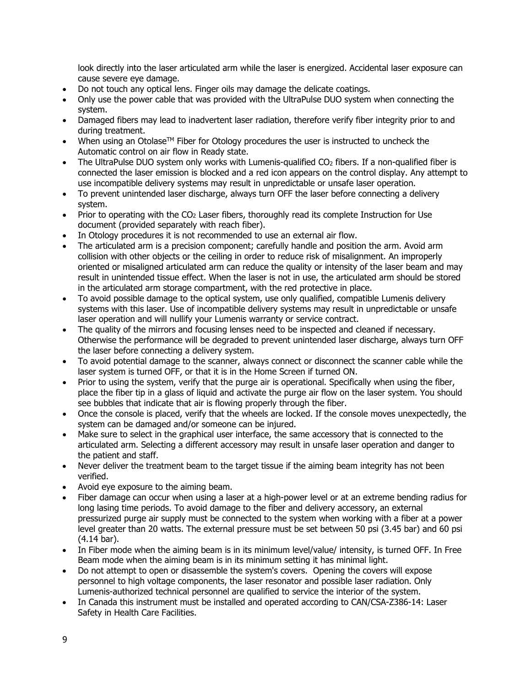look directly into the laser articulated arm while the laser is energized. Accidental laser exposure can cause severe eye damage.

- Do not touch any optical lens. Finger oils may damage the delicate coatings.
- Only use the power cable that was provided with the UltraPulse DUO system when connecting the system.
- Damaged fibers may lead to inadvertent laser radiation, therefore verify fiber integrity prior to and during treatment.
- When using an Otolase<sup>TM</sup> Fiber for Otology procedures the user is instructed to uncheck the Automatic control on air flow in Ready state.
- The UltraPulse DUO system only works with Lumenis-qualified  $CO<sub>2</sub>$  fibers. If a non-qualified fiber is connected the laser emission is blocked and a red icon appears on the control display. Any attempt to use incompatible delivery systems may result in unpredictable or unsafe laser operation.
- To prevent unintended laser discharge, always turn OFF the laser before connecting a delivery system.
- Prior to operating with the CO<sub>2</sub> Laser fibers, thoroughly read its complete Instruction for Use document (provided separately with reach fiber).
- In Otology procedures it is not recommended to use an external air flow.
- The articulated arm is a precision component; carefully handle and position the arm. Avoid arm collision with other objects or the ceiling in order to reduce risk of misalignment. An improperly oriented or misaligned articulated arm can reduce the quality or intensity of the laser beam and may result in unintended tissue effect. When the laser is not in use, the articulated arm should be stored in the articulated arm storage compartment, with the red protective in place.
- To avoid possible damage to the optical system, use only qualified, compatible Lumenis delivery systems with this laser. Use of incompatible delivery systems may result in unpredictable or unsafe laser operation and will nullify your Lumenis warranty or service contract.
- The quality of the mirrors and focusing lenses need to be inspected and cleaned if necessary. Otherwise the performance will be degraded to prevent unintended laser discharge, always turn OFF the laser before connecting a delivery system.
- To avoid potential damage to the scanner, always connect or disconnect the scanner cable while the laser system is turned OFF, or that it is in the Home Screen if turned ON.
- Prior to using the system, verify that the purge air is operational. Specifically when using the fiber, place the fiber tip in a glass of liquid and activate the purge air flow on the laser system. You should see bubbles that indicate that air is flowing properly through the fiber.
- Once the console is placed, verify that the wheels are locked. If the console moves unexpectedly, the system can be damaged and/or someone can be injured.
- Make sure to select in the graphical user interface, the same accessory that is connected to the articulated arm. Selecting a different accessory may result in unsafe laser operation and danger to the patient and staff.
- Never deliver the treatment beam to the target tissue if the aiming beam integrity has not been verified.
- Avoid eye exposure to the aiming beam.
- Fiber damage can occur when using a laser at a high-power level or at an extreme bending radius for long lasing time periods. To avoid damage to the fiber and delivery accessory, an external pressurized purge air supply must be connected to the system when working with a fiber at a power level greater than 20 watts. The external pressure must be set between 50 psi (3.45 bar) and 60 psi (4.14 bar).
- In Fiber mode when the aiming beam is in its minimum level/value/ intensity, is turned OFF. In Free Beam mode when the aiming beam is in its minimum setting it has minimal light.
- Do not attempt to open or disassemble the system's covers. Opening the covers will expose personnel to high voltage components, the laser resonator and possible laser radiation. Only Lumenis-authorized technical personnel are qualified to service the interior of the system.
- In Canada this instrument must be installed and operated according to CAN/CSA-Z386-14: Laser Safety in Health Care Facilities.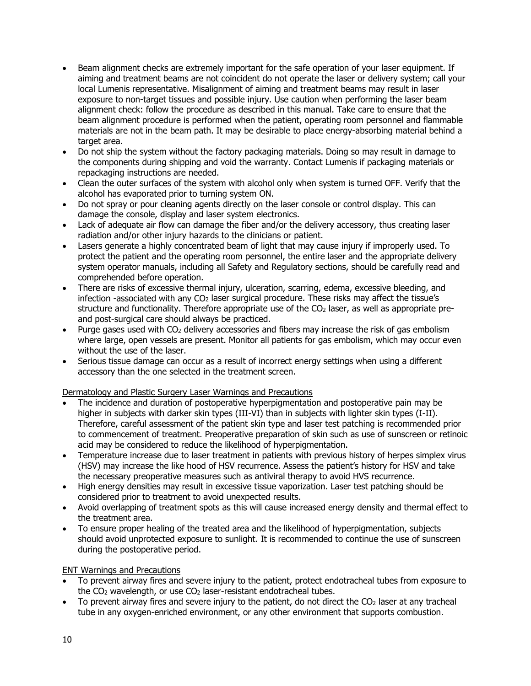- Beam alignment checks are extremely important for the safe operation of your laser equipment. If aiming and treatment beams are not coincident do not operate the laser or delivery system; call your local Lumenis representative. Misalignment of aiming and treatment beams may result in laser exposure to non-target tissues and possible injury. Use caution when performing the laser beam alignment check: follow the procedure as described in this manual. Take care to ensure that the beam alignment procedure is performed when the patient, operating room personnel and flammable materials are not in the beam path. It may be desirable to place energy-absorbing material behind a target area.
- Do not ship the system without the factory packaging materials. Doing so may result in damage to the components during shipping and void the warranty. Contact Lumenis if packaging materials or repackaging instructions are needed.
- Clean the outer surfaces of the system with alcohol only when system is turned OFF. Verify that the alcohol has evaporated prior to turning system ON.
- Do not spray or pour cleaning agents directly on the laser console or control display. This can damage the console, display and laser system electronics.
- Lack of adequate air flow can damage the fiber and/or the delivery accessory, thus creating laser radiation and/or other injury hazards to the clinicians or patient.
- Lasers generate a highly concentrated beam of light that may cause injury if improperly used. To protect the patient and the operating room personnel, the entire laser and the appropriate delivery system operator manuals, including all Safety and Regulatory sections, should be carefully read and comprehended before operation.
- There are risks of excessive thermal injury, ulceration, scarring, edema, excessive bleeding, and infection -associated with any  $CO<sub>2</sub>$  laser surgical procedure. These risks may affect the tissue's structure and functionality. Therefore appropriate use of the  $CO<sub>2</sub>$  laser, as well as appropriate preand post-surgical care should always be practiced.
- Purge gases used with CO2 delivery accessories and fibers may increase the risk of gas embolism where large, open vessels are present. Monitor all patients for gas embolism, which may occur even without the use of the laser.
- Serious tissue damage can occur as a result of incorrect energy settings when using a different accessory than the one selected in the treatment screen.

#### Dermatology and Plastic Surgery Laser Warnings and Precautions

- The incidence and duration of postoperative hyperpigmentation and postoperative pain may be higher in subjects with darker skin types (III-VI) than in subjects with lighter skin types (I-II). Therefore, careful assessment of the patient skin type and laser test patching is recommended prior to commencement of treatment. Preoperative preparation of skin such as use of sunscreen or retinoic acid may be considered to reduce the likelihood of hyperpigmentation.
- Temperature increase due to laser treatment in patients with previous history of herpes simplex virus (HSV) may increase the like hood of HSV recurrence. Assess the patient's history for HSV and take the necessary preoperative measures such as antiviral therapy to avoid HVS recurrence.
- High energy densities may result in excessive tissue vaporization. Laser test patching should be considered prior to treatment to avoid unexpected results.
- Avoid overlapping of treatment spots as this will cause increased energy density and thermal effect to the treatment area.
- To ensure proper healing of the treated area and the likelihood of hyperpigmentation, subjects should avoid unprotected exposure to sunlight. It is recommended to continue the use of sunscreen during the postoperative period.

#### ENT Warnings and Precautions

- To prevent airway fires and severe injury to the patient, protect endotracheal tubes from exposure to the CO<sub>2</sub> wavelength, or use CO<sub>2</sub> laser-resistant endotracheal tubes.
- To prevent airway fires and severe injury to the patient, do not direct the  $CO<sub>2</sub>$  laser at any tracheal tube in any oxygen-enriched environment, or any other environment that supports combustion.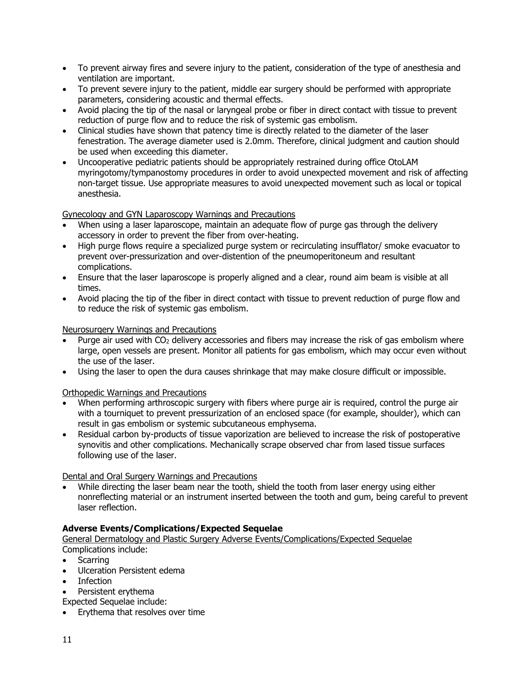- To prevent airway fires and severe injury to the patient, consideration of the type of anesthesia and ventilation are important.
- To prevent severe injury to the patient, middle ear surgery should be performed with appropriate parameters, considering acoustic and thermal effects.
- Avoid placing the tip of the nasal or laryngeal probe or fiber in direct contact with tissue to prevent reduction of purge flow and to reduce the risk of systemic gas embolism.
- Clinical studies have shown that patency time is directly related to the diameter of the laser fenestration. The average diameter used is 2.0mm. Therefore, clinical judgment and caution should be used when exceeding this diameter.
- Uncooperative pediatric patients should be appropriately restrained during office OtoLAM myringotomy/tympanostomy procedures in order to avoid unexpected movement and risk of affecting non-target tissue. Use appropriate measures to avoid unexpected movement such as local or topical anesthesia.

Gynecology and GYN Laparoscopy Warnings and Precautions

- When using a laser laparoscope, maintain an adequate flow of purge gas through the delivery accessory in order to prevent the fiber from over-heating.
- High purge flows require a specialized purge system or recirculating insufflator/ smoke evacuator to prevent over-pressurization and over-distention of the pneumoperitoneum and resultant complications.
- Ensure that the laser laparoscope is properly aligned and a clear, round aim beam is visible at all times.
- Avoid placing the tip of the fiber in direct contact with tissue to prevent reduction of purge flow and to reduce the risk of systemic gas embolism.

Neurosurgery Warnings and Precautions

- Purge air used with CO<sub>2</sub> delivery accessories and fibers may increase the risk of gas embolism where large, open vessels are present. Monitor all patients for gas embolism, which may occur even without the use of the laser.
- Using the laser to open the dura causes shrinkage that may make closure difficult or impossible.

Orthopedic Warnings and Precautions

- When performing arthroscopic surgery with fibers where purge air is required, control the purge air with a tourniquet to prevent pressurization of an enclosed space (for example, shoulder), which can result in gas embolism or systemic subcutaneous emphysema.
- Residual carbon by-products of tissue vaporization are believed to increase the risk of postoperative synovitis and other complications. Mechanically scrape observed char from lased tissue surfaces following use of the laser.

Dental and Oral Surgery Warnings and Precautions

• While directing the laser beam near the tooth, shield the tooth from laser energy using either nonreflecting material or an instrument inserted between the tooth and gum, being careful to prevent laser reflection.

# **Adverse Events/Complications/Expected Sequelae**

General Dermatology and Plastic Surgery Adverse Events/Complications/Expected Sequelae Complications include:

- Scarring
- Ulceration Persistent edema
- **Infection**
- Persistent erythema

Expected Sequelae include:

• Erythema that resolves over time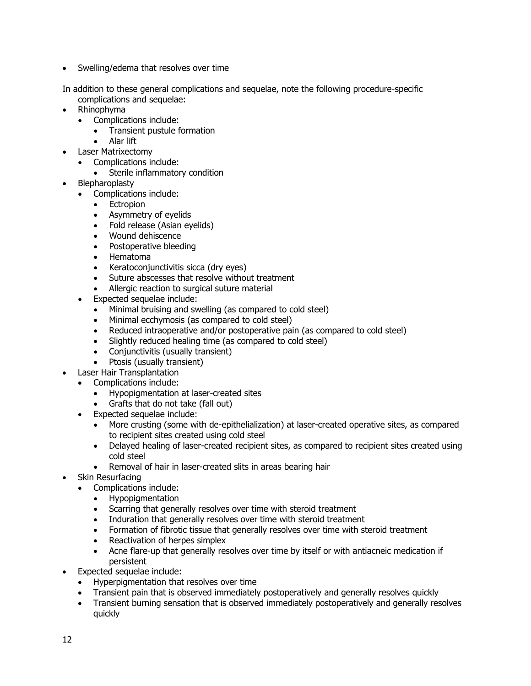• Swelling/edema that resolves over time

In addition to these general complications and sequelae, note the following procedure-specific complications and sequelae:

- Rhinophyma
	- Complications include:
		- Transient pustule formation
	- Alar lift
- Laser Matrixectomy
	- Complications include:
		- Sterile inflammatory condition
- **Blepharoplasty** 
	- Complications include:
		- Ectropion
		- Asymmetry of eyelids
		- Fold release (Asian eyelids)
		- Wound dehiscence
		- Postoperative bleeding
		- Hematoma
		- Keratoconjunctivitis sicca (dry eyes)
		- Suture abscesses that resolve without treatment<br>• Allergic reaction to surgical suture material
		- Allergic reaction to surgical suture material
	- Expected sequelae include:
		- Minimal bruising and swelling (as compared to cold steel)
		- Minimal ecchymosis (as compared to cold steel)
		- Reduced intraoperative and/or postoperative pain (as compared to cold steel)
		- Slightly reduced healing time (as compared to cold steel)
		- Conjunctivitis (usually transient)
		- Ptosis (usually transient)
- Laser Hair Transplantation
	- Complications include:
		- Hypopigmentation at laser-created sites
		- Grafts that do not take (fall out)
	- Expected sequelae include:
		- More crusting (some with de-epithelialization) at laser-created operative sites, as compared to recipient sites created using cold steel
		- Delayed healing of laser-created recipient sites, as compared to recipient sites created using cold steel
		- Removal of hair in laser-created slits in areas bearing hair
- Skin Resurfacing
	- Complications include:
		- Hypopigmentation
		- Scarring that generally resolves over time with steroid treatment
		- Induration that generally resolves over time with steroid treatment
		- Formation of fibrotic tissue that generally resolves over time with steroid treatment
		- Reactivation of herpes simplex
		- Acne flare-up that generally resolves over time by itself or with antiacneic medication if persistent
- Expected sequelae include:
	- Hyperpigmentation that resolves over time
	- Transient pain that is observed immediately postoperatively and generally resolves quickly
	- Transient burning sensation that is observed immediately postoperatively and generally resolves quickly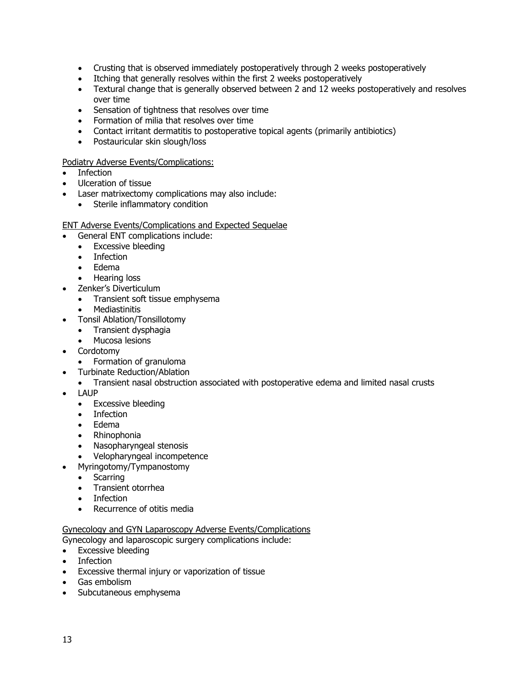- Crusting that is observed immediately postoperatively through 2 weeks postoperatively
- Itching that generally resolves within the first 2 weeks postoperatively
- Textural change that is generally observed between 2 and 12 weeks postoperatively and resolves over time
- Sensation of tightness that resolves over time
- Formation of milia that resolves over time
- Contact irritant dermatitis to postoperative topical agents (primarily antibiotics)
- Postauricular skin slough/loss

#### Podiatry Adverse Events/Complications:

- **Infection**
- Ulceration of tissue
- Laser matrixectomy complications may also include:
	- Sterile inflammatory condition

#### ENT Adverse Events/Complications and Expected Sequelae

- General ENT complications include:
	- Excessive bleeding
	- Infection
	- Edema
	- Hearing loss
- Zenker's Diverticulum
	- Transient soft tissue emphysema
	- **Mediastinitis**
- Tonsil Ablation/Tonsillotomy
	- Transient dysphagia
	- Mucosa lesions
- **Cordotomy** 
	- Formation of granuloma
- Turbinate Reduction/Ablation
- Transient nasal obstruction associated with postoperative edema and limited nasal crusts
- LAUP
	- Excessive bleeding
	- Infection
	- Edema
	- Rhinophonia
	- Nasopharyngeal stenosis
	- Velopharyngeal incompetence
	- Myringotomy/Tympanostomy
	- Scarring
	- Transient otorrhea
	- Infection
	- Recurrence of otitis media

#### Gynecology and GYN Laparoscopy Adverse Events/Complications

- Gynecology and laparoscopic surgery complications include:
- Excessive bleeding
- Infection
- Excessive thermal injury or vaporization of tissue
- Gas embolism
- Subcutaneous emphysema